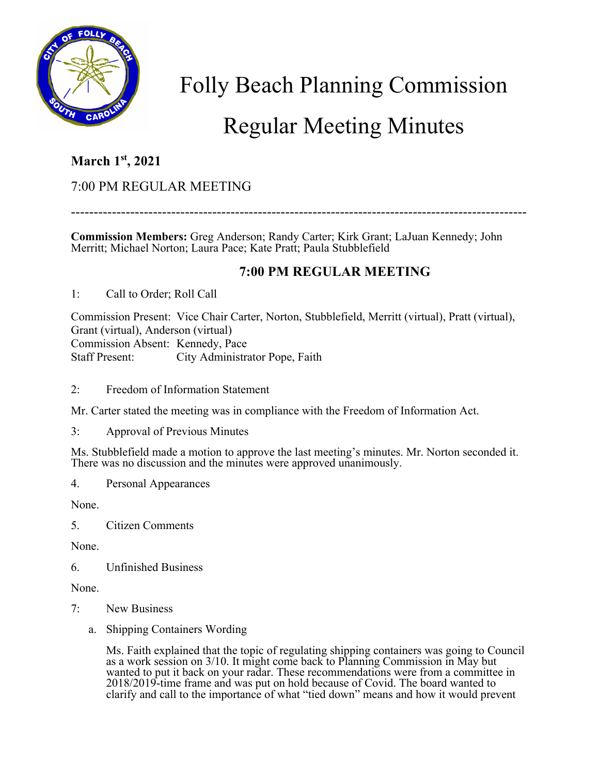

Folly Beach Planning Commission

# Regular Meeting Minutes

## **March 1st, 2021**

### 7:00 PM REGULAR MEETING

----------------------------------------------------------------------------------------------------

**Commission Members:** Greg Anderson; Randy Carter; Kirk Grant; LaJuan Kennedy; John Merritt; Michael Norton; Laura Pace; Kate Pratt; Paula Stubblefield

#### **7:00 PM REGULAR MEETING**

1: Call to Order; Roll Call

Commission Present: Vice Chair Carter, Norton, Stubblefield, Merritt (virtual), Pratt (virtual), Grant (virtual), Anderson (virtual) Commission Absent: Kennedy, Pace Staff Present: City Administrator Pope, Faith

2: Freedom of Information Statement

Mr. Carter stated the meeting was in compliance with the Freedom of Information Act.

3: Approval of Previous Minutes

Ms. Stubblefield made a motion to approve the last meeting's minutes. Mr. Norton seconded it. There was no discussion and the minutes were approved unanimously.

4. Personal Appearances

None.

5. Citizen Comments

None.

6. Unfinished Business

None.

- 7: New Business
	- a. Shipping Containers Wording

Ms. Faith explained that the topic of regulating shipping containers was going to Council as a work session on 3/10. It might come back to Planning Commission in May but wanted to put it back on your radar. These recommendations were from a committee in 2018/2019-time frame and was put on hold because of Covid. The board wanted to clarify and call to the importance of what "tied down" means and how it would prevent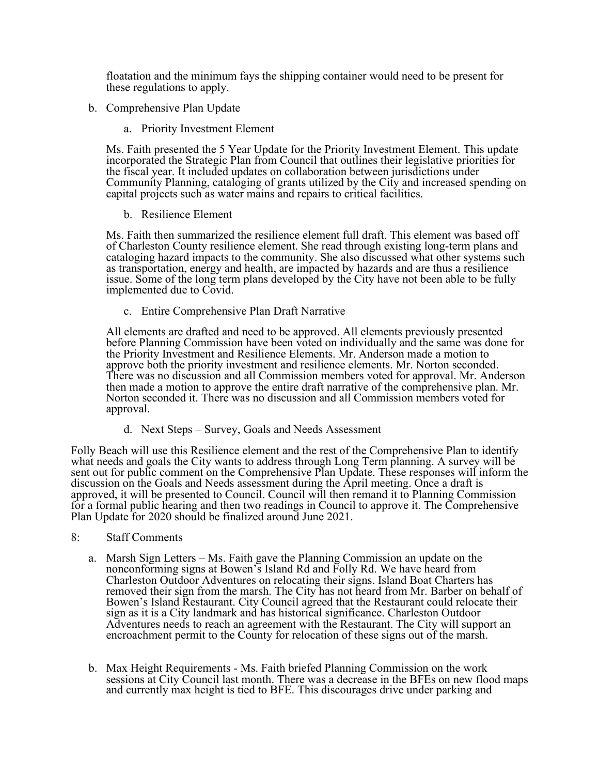floatation and the minimum fays the shipping container would need to be present for these regulations to apply.

- b. Comprehensive Plan Update
	- a. Priority Investment Element

Ms. Faith presented the 5 Year Update for the Priority Investment Element. This update incorporated the Strategic Plan from Council that outlines their legislative priorities for the fiscal year. It included updates on collaboration between jurisdictions under Community Planning, cataloging of grants utilized by the City and increased spending on capital projects such as water mains and repairs to critical facilities.

#### b. Resilience Element

Ms. Faith then summarized the resilience element full draft. This element was based off of Charleston County resilience element. She read through existing long-term plans and cataloging hazard impacts to the community. She also discussed what other systems such as transportation, energy and health, are impacted by hazards and are thus a resilience issue. Some of the long term plans developed by the City have not been able to be fully implemented due to Covid.

c. Entire Comprehensive Plan Draft Narrative

All elements are drafted and need to be approved. All elements previously presented before Planning Commission have been voted on individually and the same was done for the Priority Investment and Resilience Elements. Mr. Anderson made a motion to approve both the priority investment and resilience elements. Mr. Norton seconded. There was no discussion and all Commission members voted for approval. Mr. Anderson then made a motion to approve the entire draft narrative of the comprehensive plan. Mr. Norton seconded it. There was no discussion and all Commission members voted for approval.

d. Next Steps – Survey, Goals and Needs Assessment

Folly Beach will use this Resilience element and the rest of the Comprehensive Plan to identify what needs and goals the City wants to address through Long Term planning. A survey will be sent out for public comment on the Comprehensive Plan Update. These responses will inform the discussion on the Goals and Needs assessment during the April meeting. Once a draft is approved, it will be presented to Council. Council will then remand it to Planning Commission for a formal public hearing and then two readings in Council to approve it. The Comprehensive Plan Update for 2020 should be finalized around June 2021.

- 8: Staff Comments
	- a. Marsh Sign Letters Ms. Faith gave the Planning Commission an update on the nonconforming signs at Bowen's Island Rd and Folly Rd. We have heard from Charleston Outdoor Adventures on relocating their signs. Island Boat Charters has removed their sign from the marsh. The City has not heard from Mr. Barber on behalf of Bowen's Island Restaurant. City Council agreed that the Restaurant could relocate their sign as it is a City landmark and has historical significance. Charleston Outdoor Adventures needs to reach an agreement with the Restaurant. The City will support an encroachment permit to the County for relocation of these signs out of the marsh.
	- b. Max Height Requirements Ms. Faith briefed Planning Commission on the work sessions at City Council last month. There was a decrease in the BFEs on new flood maps and currently max height is tied to BFE. This discourages drive under parking and